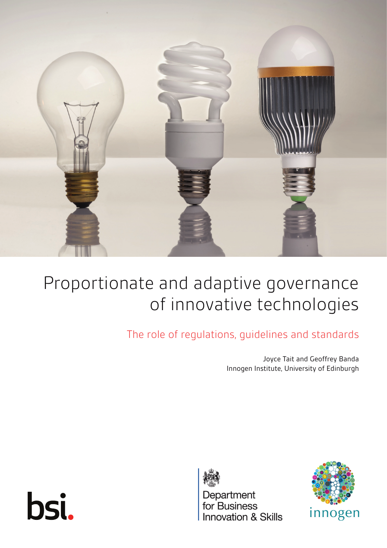

# Proportionate and adaptive governance of innovative technologies

The role of regulations, guidelines and standards

Joyce Tait and Geoffrey Banda Innogen Institute, University of Edinburgh





Department<br>for Business **Innovation & Skills** 

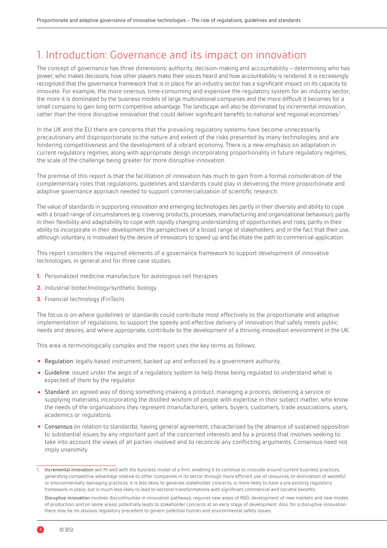# 1. Introduction: Governance and its impact on innovation

The concept of governance has three dimensions: authority, decision-making and accountability – determining who has power, who makes decisions, how other players make their voices heard and how accountability is rendered. It is increasingly recognized that the governance framework that is in place for an industry sector has a significant impact on its capacity to innovate. For example, the more onerous, time-consuming and expensive the regulatory system for an industry sector, the more it is dominated by the business models of large multinational companies and the more difficult it becomes for a small company to gain long-term competitive advantage. The landscape will also be dominated by incremental innovation, rather than the more disruptive innovation that could deliver significant benefits to national and regional economies.<sup>1</sup>

In the UK and the EU there are concerns that the prevailing regulatory systems have become unnecessarily precautionary and disproportionate to the nature and extent of the risks presented by many technologies, and are hindering competitiveness and the development of a vibrant economy. There is a new emphasis on adaptation in current regulatory regimes, along with appropriate design incorporating proportionality in future regulatory regimes, the scale of the challenge being greater for more disruptive innovation.

The premise of this report is that the facilitation of innovation has much to gain from a formal consideration of the complementary roles that regulations, guidelines and standards could play in delivering the more proportionate and adaptive governance approach needed to support commercialization of scientific research.

The value of standards in supporting innovation and emerging technologies lies partly in their diversity and ability to cope with a broad range of circumstances (e.g. covering products, processes, manufacturing and organizational behaviour); partly in their flexibility and adaptability to cope with rapidly changing understanding of opportunities and risks; partly in their ability to incorporate in their development the perspectives of a broad range of stakeholders; and in the fact that their use, although voluntary, is motivated by the desire of innovators to speed up and facilitate the path to commercial application.

This report considers the required elements of a governance framework to support development of innovative technologies, in general and for three case studies.

- **1.** Personalized medicine manufacture for autologous cell therapies
- **2.** Industrial biotechnology/synthetic biology
- **3.** Financial technology (FinTech)

The focus is on where guidelines or standards could contribute most effectively to the proportionate and adaptive implementation of regulations, to support the speedy and effective delivery of innovation that safely meets public needs and desires, and where appropriate, contribute to the development of a thriving innovation environment in the UK.

This area is terminologically complex and the report uses the key terms as follows:

- Regulation: legally based instrument, backed up and enforced by a government authority.
- Guideline: issued under the aegis of a regulatory system to help those being regulated to understand what is expected of them by the regulator.
- Standard: an agreed way of doing something (making a product, managing a process, delivering a service or supplying materials), incorporating the distilled wisdom of people with expertise in their subject matter, who know the needs of the organizations they represent (manufacturers, sellers, buyers, customers, trade associations, users, academics or regulators).
- Consensus (in relation to standards): having general agreement, characterized by the absence of sustained opposition to substantial issues by any important part of the concerned interests and by a process that involves seeking to take into account the views of all parties involved and to reconcile any conflicting arguments. Consensus need not imply unanimity.

Disruptive innovation involves discontinuities in innovation pathways, requires new areas of R&D, development of new markets and new modes of production, and (in some areas) potentially leads to stakeholder concerns at an early stage of development. Also, for a disruptive innovation there may be no obvious regulatory precedent to govern potential human and environmental safety issues.

<sup>1.</sup> Incremental innovation will fit well with the business model of a firm, enabling it to continue to innovate around current business practices, generating competitive advantage relative to other companies in its sector through more efficient use of resources, or elimination of wasteful or environmentally damaging practices. It is less likely to generate stakeholder concerns, is more likely to have a pre-existing regulatory framework in place, but is much less likely to lead to sectoral transformations with significant commercial and societal benefits.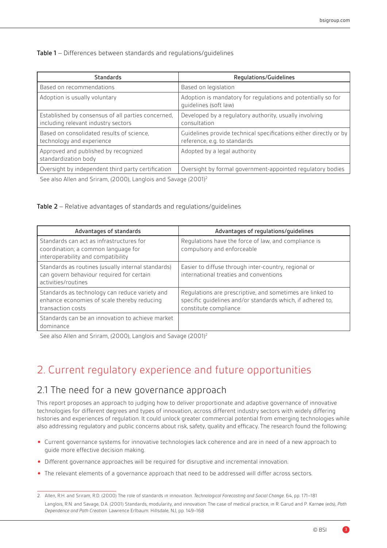Table 1 – Differences between standards and regulations/guidelines

| <b>Standards</b>                                                                          | Regulations/Guidelines                                                                            |  |
|-------------------------------------------------------------------------------------------|---------------------------------------------------------------------------------------------------|--|
| Based on recommendations                                                                  | Based on legislation                                                                              |  |
| Adoption is usually voluntary                                                             | Adoption is mandatory for regulations and potentially so for<br>quidelines (soft law)             |  |
| Established by consensus of all parties concerned,<br>including relevant industry sectors | Developed by a regulatory authority, usually involving<br>consultation                            |  |
| Based on consolidated results of science,<br>technology and experience                    | Guidelines provide technical specifications either directly or by<br>reference, e.g. to standards |  |
| Approved and published by recognized<br>standardization body                              | Adopted by a legal authority                                                                      |  |
| Oversight by independent third party certification                                        | Oversight by formal government-appointed regulatory bodies                                        |  |
| $\mathcal{C}$ I All IC (3000) I I IC (3001)                                               |                                                                                                   |  |

See also Allen and Sriram, (2000), Langlois and Savage (2001)<sup>2</sup>

Table 2 – Relative advantages of standards and regulations/guidelines

| Advantages of standards                                                                                                | Advantages of regulations/guidelines                                                                                                             |
|------------------------------------------------------------------------------------------------------------------------|--------------------------------------------------------------------------------------------------------------------------------------------------|
| Standards can act as infrastructures for<br>coordination; a common language for<br>interoperability and compatibility  | Regulations have the force of law, and compliance is<br>compulsory and enforceable                                                               |
| Standards as routines (usually internal standards)<br>can govern behaviour required for certain<br>activities/routines | Easier to diffuse through inter-country, regional or<br>international treaties and conventions                                                   |
| Standards as technology can reduce variety and<br>enhance economies of scale thereby reducing<br>transaction costs     | Regulations are prescriptive, and sometimes are linked to<br>specific quidelines and/or standards which, if adhered to,<br>constitute compliance |
| Standards can be an innovation to achieve market<br>dominance                                                          |                                                                                                                                                  |

See also Allen and Sriram, (2000), Langlois and Savage (2001)<sup>2</sup>

# 2. Current regulatory experience and future opportunities

#### 2.1 The need for a new governance approach

This report proposes an approach to judging how to deliver proportionate and adaptive governance of innovative technologies for different degrees and types of innovation, across different industry sectors with widely differing histories and experiences of regulation. It could unlock greater commercial potential from emerging technologies while also addressing regulatory and public concerns about risk, safety, quality and efficacy. The research found the following:

- Current governance systems for innovative technologies lack coherence and are in need of a new approach to guide more effective decision making.
- Different governance approaches will be required for disruptive and incremental innovation.
- The relevant elements of a governance approach that need to be addressed will differ across sectors.

3

<sup>2.</sup> Allen, R.H. and Sriram, R.D. (2000) The role of standards in innovation. *Technological Forecasting and Social Change*. 64, pp. 171–181 Langlois, R.N. and Savage, D.A. (2001) Standards, modularity, and innovation: The case of medical practice, in R. Garud and P. Karnøe (eds), *Path Dependence and Path Creation*. Lawrence Erlbaum: Hillsdale, NJ, pp. 149–168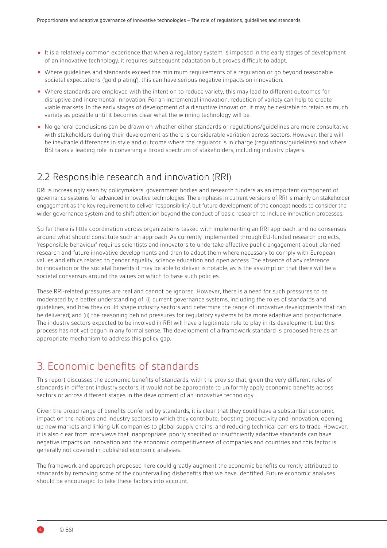- It is a relatively common experience that when a regulatory system is imposed in the early stages of development of an innovative technology, it requires subsequent adaptation but proves difficult to adapt.
- Where guidelines and standards exceed the minimum requirements of a regulation or go beyond reasonable societal expectations ('gold plating'), this can have serious negative impacts on innovation.
- Where standards are employed with the intention to reduce variety, this may lead to different outcomes for disruptive and incremental innovation. For an incremental innovation, reduction of variety can help to create viable markets. In the early stages of development of a disruptive innovation, it may be desirable to retain as much variety as possible until it becomes clear what the winning technology will be.
- No general conclusions can be drawn on whether either standards or regulations/guidelines are more consultative with stakeholders during their development as there is considerable variation across sectors. However, there will be inevitable differences in style and outcome where the regulator is in charge (regulations/guidelines) and where BSI takes a leading role in convening a broad spectrum of stakeholders, including industry players.

#### 2.2 Responsible research and innovation (RRI)

RRI is increasingly seen by policymakers, government bodies and research funders as an important component of governance systems for advanced innovative technologies. The emphasis in current versions of RRI is mainly on stakeholder engagement as the key requirement to deliver 'responsibility', but future development of the concept needs to consider the wider governance system and to shift attention beyond the conduct of basic research to include innovation processes.

So far there is little coordination across organizations tasked with implementing an RRI approach, and no consensus around what should constitute such an approach. As currently implemented through EU-funded research projects, 'responsible behaviour' requires scientists and innovators to undertake effective public engagement about planned research and future innovative developments and then to adapt them where necessary to comply with European values and ethics related to gender equality, science education and open access. The absence of any reference to innovation or the societal benefits it may be able to deliver is notable, as is the assumption that there will be a societal consensus around the values on which to base such policies.

These RRI-related pressures are real and cannot be ignored. However, there is a need for such pressures to be moderated by a better understanding of: (i) current governance systems, including the roles of standards and guidelines, and how they could shape industry sectors and determine the range of innovative developments that can be delivered; and (ii) the reasoning behind pressures for regulatory systems to be more adaptive and proportionate. The industry sectors expected to be involved in RRI will have a legitimate role to play in its development, but this process has not yet begun in any formal sense. The development of a framework standard is proposed here as an appropriate mechanism to address this policy gap.

# 3. Economic benefits of standards

This report discusses the economic benefits of standards, with the proviso that, given the very different roles of standards in different industry sectors, it would not be appropriate to uniformly apply economic benefits across sectors or across different stages in the development of an innovative technology.

Given the broad range of benefits conferred by standards, it is clear that they could have a substantial economic impact on the nations and industry sectors to which they contribute, boosting productivity and innovation, opening up new markets and linking UK companies to global supply chains, and reducing technical barriers to trade. However, it is also clear from interviews that inappropriate, poorly specified or insufficiently adaptive standards can have negative impacts on innovation and the economic competitiveness of companies and countries and this factor is generally not covered in published economic analyses.

The framework and approach proposed here could greatly augment the economic benefits currently attributed to standards by removing some of the countervailing disbenefits that we have identified. Future economic analyses should be encouraged to take these factors into account.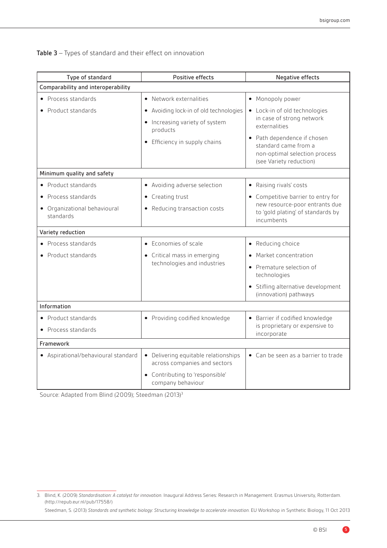| Type of standard                          | Positive effects                                                     | Negative effects                                                                                                |  |
|-------------------------------------------|----------------------------------------------------------------------|-----------------------------------------------------------------------------------------------------------------|--|
| Comparability and interoperability        |                                                                      |                                                                                                                 |  |
| • Process standards                       | • Network externalities                                              | • Monopoly power                                                                                                |  |
| • Product standards                       | • Avoiding lock-in of old technologies                               | • Lock-in of old technologies                                                                                   |  |
|                                           | • Increasing variety of system<br>products                           | in case of strong network<br>externalities                                                                      |  |
|                                           | • Efficiency in supply chains                                        | • Path dependence if chosen<br>standard came from a<br>non-optimal selection process<br>(see Variety reduction) |  |
| Minimum quality and safety                |                                                                      |                                                                                                                 |  |
| • Product standards                       | • Avoiding adverse selection                                         | • Raising rivals' costs                                                                                         |  |
| • Process standards                       | • Creating trust                                                     | • Competitive barrier to entry for                                                                              |  |
| • Organizational behavioural<br>standards | • Reducing transaction costs                                         | new resource-poor entrants due<br>to 'gold plating' of standards by<br>incumbents                               |  |
| Variety reduction                         |                                                                      |                                                                                                                 |  |
| • Process standards                       | • Economies of scale                                                 | • Reducing choice                                                                                               |  |
| • Product standards                       | • Critical mass in emerging<br>technologies and industries           | • Market concentration                                                                                          |  |
|                                           |                                                                      | • Premature selection of<br>technologies                                                                        |  |
|                                           |                                                                      | • Stifling alternative development<br>(innovation) pathways                                                     |  |
| Information                               |                                                                      |                                                                                                                 |  |
| • Product standards                       | • Providing codified knowledge                                       | • Barrier if codified knowledge                                                                                 |  |
| • Process standards                       |                                                                      | is proprietary or expensive to<br>incorporate                                                                   |  |
| Framework                                 |                                                                      |                                                                                                                 |  |
| • Aspirational/behavioural standard       | • Delivering equitable relationships<br>across companies and sectors | • Can be seen as a barrier to trade                                                                             |  |
|                                           | • Contributing to 'responsible'<br>company behaviour                 |                                                                                                                 |  |

Table 3 – Types of standard and their effect on innovation

Source: Adapted from Blind (2009); Steedman (2013)3

<sup>3.</sup> Blind, K. (2009) *Standardisation: A catalyst for innovation*. Inaugural Address Series: Research in Management. Erasmus University, Rotterdam. (http://repub.eur.nl/pub/17558/)

Steedman, S. (2013) *Standards and synthetic biology: Structuring knowledge to accelerate innovation*. EU Workshop in Synthetic Biology, 11 Oct 2013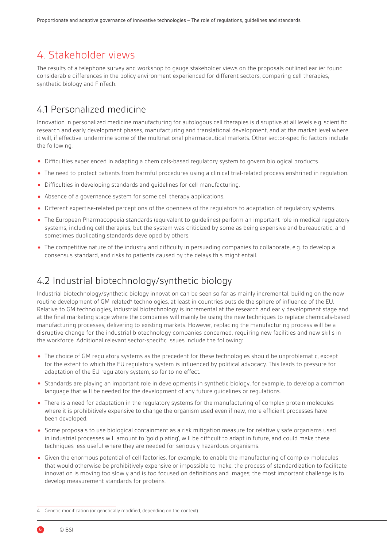# 4. Stakeholder views

The results of a telephone survey and workshop to gauge stakeholder views on the proposals outlined earlier found considerable differences in the policy environment experienced for different sectors, comparing cell therapies, synthetic biology and FinTech.

### 4.1 Personalized medicine

Innovation in personalized medicine manufacturing for autologous cell therapies is disruptive at all levels e.g. scientific research and early development phases, manufacturing and translational development, and at the market level where it will, if effective, undermine some of the multinational pharmaceutical markets. Other sector-specific factors include the following:

- Difficulties experienced in adapting a chemicals-based regulatory system to govern biological products.
- The need to protect patients from harmful procedures using a clinical trial-related process enshrined in regulation.
- Difficulties in developing standards and guidelines for cell manufacturing.
- Absence of a governance system for some cell therapy applications.
- Different expertise-related perceptions of the openness of the regulators to adaptation of regulatory systems.
- The European Pharmacopoeia standards (equivalent to guidelines) perform an important role in medical regulatory systems, including cell therapies, but the system was criticized by some as being expensive and bureaucratic, and sometimes duplicating standards developed by others.
- The competitive nature of the industry and difficulty in persuading companies to collaborate, e.g. to develop a consensus standard, and risks to patients caused by the delays this might entail.

#### 4.2 Industrial biotechnology/synthetic biology

Industrial biotechnology/synthetic biology innovation can be seen so far as mainly incremental, building on the now routine development of GM-related<sup>4</sup> technologies, at least in countries outside the sphere of influence of the EU. Relative to GM technologies, industrial biotechnology is incremental at the research and early development stage and at the final marketing stage where the companies will mainly be using the new techniques to replace chemicals-based manufacturing processes, delivering to existing markets. However, replacing the manufacturing process will be a disruptive change for the industrial biotechnology companies concerned, requiring new facilities and new skills in the workforce. Additional relevant sector-specific issues include the following:

- The choice of GM regulatory systems as the precedent for these technologies should be unproblematic, except for the extent to which the EU regulatory system is influenced by political advocacy. This leads to pressure for adaptation of the EU regulatory system, so far to no effect.
- Standards are playing an important role in developments in synthetic biology, for example, to develop a common language that will be needed for the development of any future guidelines or regulations.
- There is a need for adaptation in the regulatory systems for the manufacturing of complex protein molecules where it is prohibitively expensive to change the organism used even if new, more efficient processes have been developed.
- Some proposals to use biological containment as a risk mitigation measure for relatively safe organisms used in industrial processes will amount to 'gold plating', will be difficult to adapt in future, and could make these techniques less useful where they are needed for seriously hazardous organisms.
- Given the enormous potential of cell factories, for example, to enable the manufacturing of complex molecules that would otherwise be prohibitively expensive or impossible to make, the process of standardization to facilitate innovation is moving too slowly and is too focused on definitions and images; the most important challenge is to develop measurement standards for proteins.

<sup>4.</sup> Genetic modification (or genetically modified, depending on the context)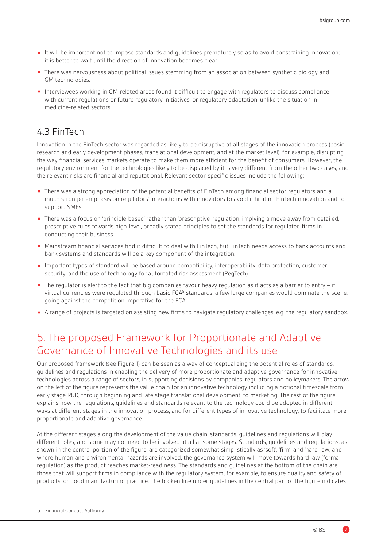- It will be important not to impose standards and guidelines prematurely so as to avoid constraining innovation; it is better to wait until the direction of innovation becomes clear.
- There was nervousness about political issues stemming from an association between synthetic biology and GM technologies.
- Interviewees working in GM-related areas found it difficult to engage with regulators to discuss compliance with current regulations or future regulatory initiatives, or regulatory adaptation, unlike the situation in medicine-related sectors.

# 4.3 FinTech

Innovation in the FinTech sector was regarded as likely to be disruptive at all stages of the innovation process (basic research and early development phases, translational development, and at the market level), for example, disrupting the way financial services markets operate to make them more efficient for the benefit of consumers. However, the regulatory environment for the technologies likely to be displaced by it is very different from the other two cases, and the relevant risks are financial and reputational. Relevant sector-specific issues include the following:

- There was a strong appreciation of the potential benefits of FinTech among financial sector regulators and a much stronger emphasis on regulators' interactions with innovators to avoid inhibiting FinTech innovation and to support SMEs.
- There was a focus on 'principle-based' rather than 'prescriptive' regulation, implying a move away from detailed, prescriptive rules towards high-level, broadly stated principles to set the standards for regulated firms in conducting their business.
- Mainstream financial services find it difficult to deal with FinTech, but FinTech needs access to bank accounts and bank systems and standards will be a key component of the integration.
- Important types of standard will be based around compatibility, interoperability, data protection, customer security, and the use of technology for automated risk assessment (RegTech).
- The regulator is alert to the fact that big companies favour heavy regulation as it acts as a barrier to entry if virtual currencies were regulated through basic FCA<sup>5</sup> standards, a few large companies would dominate the scene, going against the competition imperative for the FCA.
- A range of projects is targeted on assisting new firms to navigate regulatory challenges, e.g. the regulatory sandbox.

# 5. The proposed Framework for Proportionate and Adaptive Governance of Innovative Technologies and its use

Our proposed framework (see Figure 1) can be seen as a way of conceptualizing the potential roles of standards, guidelines and regulations in enabling the delivery of more proportionate and adaptive governance for innovative technologies across a range of sectors, in supporting decisions by companies, regulators and policymakers. The arrow on the left of the figure represents the value chain for an innovative technology including a notional timescale from early stage R&D, through beginning and late stage translational development, to marketing. The rest of the figure explains how the regulations, guidelines and standards relevant to the technology could be adopted in different ways at different stages in the innovation process, and for different types of innovative technology, to facilitate more proportionate and adaptive governance.

At the different stages along the development of the value chain, standards, guidelines and regulations will play different roles, and some may not need to be involved at all at some stages. Standards, guidelines and regulations, as shown in the central portion of the figure, are categorized somewhat simplistically as 'soft', 'firm' and 'hard' law, and where human and environmental hazards are involved, the governance system will move towards hard law (formal regulation) as the product reaches market-readiness. The standards and guidelines at the bottom of the chain are those that will support firms in compliance with the regulatory system, for example, to ensure quality and safety of products, or good manufacturing practice. The broken line under guidelines in the central part of the figure indicates

<sup>5.</sup> Financial Conduct Authority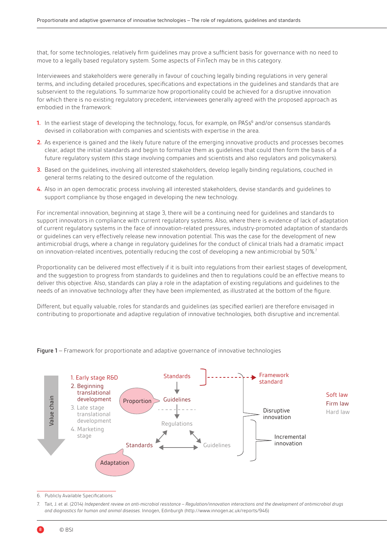that, for some technologies, relatively firm guidelines may prove a sufficient basis for governance with no need to move to a legally based regulatory system. Some aspects of FinTech may be in this category.

Interviewees and stakeholders were generally in favour of couching legally binding regulations in very general terms, and including detailed procedures, specifications and expectations in the guidelines and standards that are subservient to the regulations. To summarize how proportionality could be achieved for a disruptive innovation for which there is no existing regulatory precedent, interviewees generally agreed with the proposed approach as embodied in the framework:

- 1. In the earliest stage of developing the technology, focus, for example, on PASs<sup>6</sup> and/or consensus standards devised in collaboration with companies and scientists with expertise in the area.
- **2.** As experience is gained and the likely future nature of the emerging innovative products and processes becomes clear, adapt the initial standards and begin to formalize them as guidelines that could then form the basis of a future regulatory system (this stage involving companies and scientists and also regulators and policymakers).
- **3.** Based on the guidelines, involving all interested stakeholders, develop legally binding regulations, couched in general terms relating to the desired outcome of the regulation.
- **4.** Also in an open democratic process involving all interested stakeholders, devise standards and guidelines to support compliance by those engaged in developing the new technology.

For incremental innovation, beginning at stage 3, there will be a continuing need for guidelines and standards to support innovators in compliance with current regulatory systems. Also, where there is evidence of lack of adaptation of current regulatory systems in the face of innovation-related pressures, industry-promoted adaptation of standards or guidelines can very effectively release new innovation potential. This was the case for the development of new antimicrobial drugs, where a change in regulatory guidelines for the conduct of clinical trials had a dramatic impact on innovation-related incentives, potentially reducing the cost of developing a new antimicrobial by 50%.<sup>7</sup>

Proportionality can be delivered most effectively if it is built into regulations from their earliest stages of development, and the suggestion to progress from standards to guidelines and then to regulations could be an effective means to deliver this objective. Also, standards can play a role in the adaptation of existing regulations and guidelines to the needs of an innovative technology after they have been implemented, as illustrated at the bottom of the figure.

Different, but equally valuable, roles for standards and guidelines (as specified earlier) are therefore envisaged in contributing to proportionate and adaptive regulation of innovative technologies, both disruptive and incremental.





6. Publicly Available Specifications

7. Tait, J. et al. (2014) *Independent review on anti-microbial resistance – Regulation/innovation interactions and the development of antimicrobial drugs and diagnostics for human and animal diseases*. Innogen, Edinburgh (http://www.innogen.ac.uk/reports/946)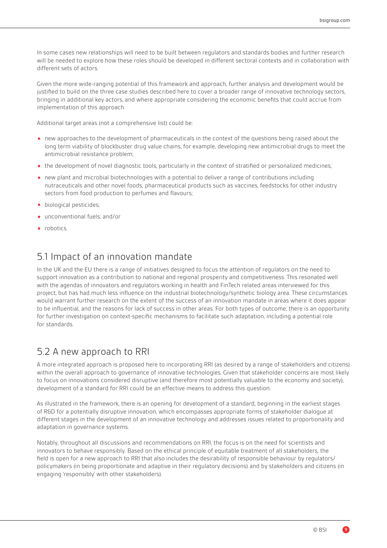In some cases new relationships will need to be built between regulators and standards bodies and further research will be needed to explore how these roles should be developed in different sectoral contexts and in collaboration with different sets of actors.

Given the more wide-ranging potential of this framework and approach, further analysis and development would be justified to build on the three case studies described here to cover a broader range of innovative technology sectors, bringing in additional key actors, and where appropriate considering the economic benefits that could accrue from implementation of this approach.

Additional target areas (not a comprehensive list) could be:

- new approaches to the development of pharmaceuticals in the context of the questions being raised about the long term viability of blockbuster drug value chains, for example, developing new antimicrobial drugs to meet the antimicrobial resistance problem;
- the development of novel diagnostic tools, particularly in the context of stratified or personalized medicines;
- new plant and microbial biotechnologies with a potential to deliver a range of contributions including nutraceuticals and other novel foods, pharmaceutical products such as vaccines, feedstocks for other industry sectors from food production to perfumes and flavours;
- biological pesticides;
- unconventional fuels; and/or
- robotics.

#### 5.1 Impact of an innovation mandate

In the UK and the EU there is a range of initiatives designed to focus the attention of regulators on the need to support innovation as a contribution to national and regional prosperity and competitiveness. This resonated well with the agendas of innovators and regulators working in health and FinTech related areas interviewed for this project, but has had much less influence on the industrial biotechnology/synthetic biology area. These circumstances would warrant further research on the extent of the success of an innovation mandate in areas where it does appear to be influential, and the reasons for lack of success in other areas. For both types of outcome, there is an opportunity for further investigation on context-specific mechanisms to facilitate such adaptation, including a potential role for standards.

#### 5.2 A new approach to RRI

A more integrated approach is proposed here to incorporating RRI (as desired by a range of stakeholders and citizens) within the overall approach to governance of innovative technologies. Given that stakeholder concerns are most likely to focus on innovations considered disruptive (and therefore most potentially valuable to the economy and society), development of a standard for RRI could be an effective means to address this question.

As illustrated in the framework, there is an opening for development of a standard, beginning in the earliest stages of R&D for a potentially disruptive innovation, which encompasses appropriate forms of stakeholder dialogue at different stages in the development of an innovative technology and addresses issues related to proportionality and adaptation in governance systems.

Notably, throughout all discussions and recommendations on RRI, the focus is on the need for scientists and innovators to behave responsibly. Based on the ethical principle of equitable treatment of all stakeholders, the field is open for a new approach to RRI that also includes the desirability of responsible behaviour by regulators/ policymakers (in being proportionate and adaptive in their regulatory decisions) and by stakeholders and citizens (in engaging 'responsibly' with other stakeholders).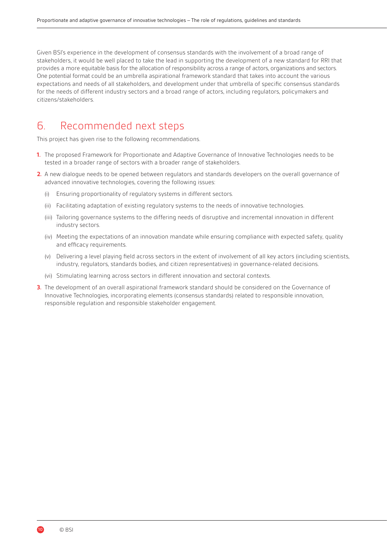Given BSI's experience in the development of consensus standards with the involvement of a broad range of stakeholders, it would be well placed to take the lead in supporting the development of a new standard for RRI that provides a more equitable basis for the allocation of responsibility across a range of actors, organizations and sectors. One potential format could be an umbrella aspirational framework standard that takes into account the various expectations and needs of all stakeholders, and development under that umbrella of specific consensus standards for the needs of different industry sectors and a broad range of actors, including regulators, policymakers and citizens/stakeholders.

# 6. Recommended next steps

This project has given rise to the following recommendations.

- **1.** The proposed Framework for Proportionate and Adaptive Governance of Innovative Technologies needs to be tested in a broader range of sectors with a broader range of stakeholders.
- **2.** A new dialogue needs to be opened between regulators and standards developers on the overall governance of advanced innovative technologies, covering the following issues:
	- (i) Ensuring proportionality of regulatory systems in different sectors.
	- (ii) Facilitating adaptation of existing regulatory systems to the needs of innovative technologies.
	- (iii) Tailoring governance systems to the differing needs of disruptive and incremental innovation in different industry sectors.
	- (iv) Meeting the expectations of an innovation mandate while ensuring compliance with expected safety, quality and efficacy requirements.
	- (v) Delivering a level playing field across sectors in the extent of involvement of all key actors (including scientists, industry, regulators, standards bodies, and citizen representatives) in governance-related decisions.
	- (vi) Stimulating learning across sectors in different innovation and sectoral contexts.
- **3.** The development of an overall aspirational framework standard should be considered on the Governance of Innovative Technologies, incorporating elements (consensus standards) related to responsible innovation, responsible regulation and responsible stakeholder engagement.